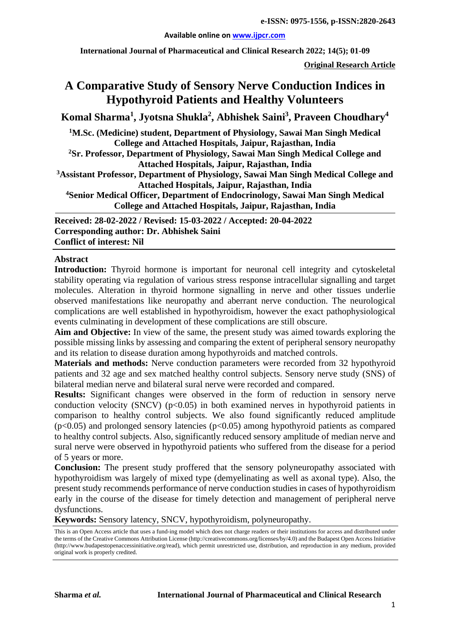#### **Available online on [www.ijpcr.com](http://www.ijpcr.com/)**

**International Journal of Pharmaceutical and Clinical Research 2022; 14(5); 01-09**

**Original Research Article**

# **A Comparative Study of Sensory Nerve Conduction Indices in Hypothyroid Patients and Healthy Volunteers**

 $\bold{Komal\ Sharma^1, Jyotsna Shukla^2, Abhishek\ Saint{Saini^3, Praveen Choudhary^4}}$ 

**1 M.Sc. (Medicine) student, Department of Physiology, Sawai Man Singh Medical College and Attached Hospitals, Jaipur, Rajasthan, India**

**2 Sr. Professor, Department of Physiology, Sawai Man Singh Medical College and Attached Hospitals, Jaipur, Rajasthan, India**

**3 Assistant Professor, Department of Physiology, Sawai Man Singh Medical College and Attached Hospitals, Jaipur, Rajasthan, India** 

**4Senior Medical Officer, Department of Endocrinology, Sawai Man Singh Medical College and Attached Hospitals, Jaipur, Rajasthan, India**

**Received: 28-02-2022 / Revised: 15-03-2022 / Accepted: 20-04-2022 Corresponding author: Dr. Abhishek Saini Conflict of interest: Nil**

### **Abstract**

**Introduction:** Thyroid hormone is important for neuronal cell integrity and cytoskeletal stability operating via regulation of various stress response intracellular signalling and target molecules. Alteration in thyroid hormone signalling in nerve and other tissues underlie observed manifestations like neuropathy and aberrant nerve conduction. The neurological complications are well established in hypothyroidism, however the exact pathophysiological events culminating in development of these complications are still obscure.

**Aim and Objective:** In view of the same, the present study was aimed towards exploring the possible missing links by assessing and comparing the extent of peripheral sensory neuropathy and its relation to disease duration among hypothyroids and matched controls.

**Materials and methods:** Nerve conduction parameters were recorded from 32 hypothyroid patients and 32 age and sex matched healthy control subjects. Sensory nerve study (SNS) of bilateral median nerve and bilateral sural nerve were recorded and compared.

**Results:** Significant changes were observed in the form of reduction in sensory nerve conduction velocity (SNCV)  $(p<0.05)$  in both examined nerves in hypothyroid patients in comparison to healthy control subjects. We also found significantly reduced amplitude  $(p<0.05)$  and prolonged sensory latencies  $(p<0.05)$  among hypothyroid patients as compared to healthy control subjects. Also, significantly reduced sensory amplitude of median nerve and sural nerve were observed in hypothyroid patients who suffered from the disease for a period of 5 years or more.

**Conclusion:** The present study proffered that the sensory polyneuropathy associated with hypothyroidism was largely of mixed type (demyelinating as well as axonal type). Also, the present study recommends performance of nerve conduction studies in cases of hypothyroidism early in the course of the disease for timely detection and management of peripheral nerve dysfunctions.

**Keywords:** Sensory latency, SNCV, hypothyroidism, polyneuropathy.

This is an Open Access article that uses a fund-ing model which does not charge readers or their institutions for access and distributed under the terms of the Creative Commons Attribution License (http://creativecommons.org/licenses/by/4.0) and the Budapest Open Access Initiative (http://www.budapestopenaccessinitiative.org/read), which permit unrestricted use, distribution, and reproduction in any medium, provided original work is properly credited.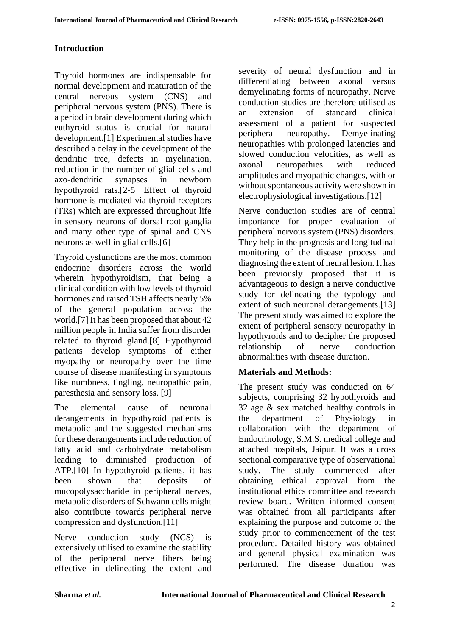# **Introduction**

Thyroid hormones are indispensable for normal development and maturation of the central nervous system (CNS) and peripheral nervous system (PNS). There is a period in brain development during which euthyroid status is crucial for natural development.[1] Experimental studies have described a delay in the development of the dendritic tree, defects in myelination, reduction in the number of glial cells and axo-dendritic synapses in newborn hypothyroid rats.[2-5] Effect of thyroid hormone is mediated via thyroid receptors (TRs) which are expressed throughout life in sensory neurons of dorsal root ganglia and many other type of spinal and CNS neurons as well in glial cells.[6]

Thyroid dysfunctions are the most common endocrine disorders across the world wherein hypothyroidism, that being a clinical condition with low levels of thyroid hormones and raised TSH affects nearly 5% of the general population across the world.[7] It has been proposed that about 42 million people in India suffer from disorder related to thyroid gland.[8] Hypothyroid patients develop symptoms of either myopathy or neuropathy over the time course of disease manifesting in symptoms like numbness, tingling, neuropathic pain, paresthesia and sensory loss. [9]

The elemental cause of neuronal derangements in hypothyroid patients is metabolic and the suggested mechanisms for these derangements include reduction of fatty acid and carbohydrate metabolism leading to diminished production of ATP.[10] In hypothyroid patients, it has been shown that deposits of mucopolysaccharide in peripheral nerves, metabolic disorders of Schwann cells might also contribute towards peripheral nerve compression and dysfunction.[11]

Nerve conduction study (NCS) is extensively utilised to examine the stability of the peripheral nerve fibers being effective in delineating the extent and

severity of neural dysfunction and in differentiating between axonal versus demyelinating forms of neuropathy. Nerve conduction studies are therefore utilised as an extension of standard clinical assessment of a patient for suspected peripheral neuropathy. Demyelinating neuropathies with prolonged latencies and slowed conduction velocities, as well as<br>axonal neuropathies with reduced axonal neuropathies with reduced amplitudes and myopathic changes, with or without spontaneous activity were shown in electrophysiological investigations.[12]

Nerve conduction studies are of central importance for proper evaluation of peripheral nervous system (PNS) disorders. They help in the prognosis and longitudinal monitoring of the disease process and diagnosing the extent of neural lesion. It has been previously proposed that it is advantageous to design a nerve conductive study for delineating the typology and extent of such neuronal derangements.[13] The present study was aimed to explore the extent of peripheral sensory neuropathy in hypothyroids and to decipher the proposed relationship of nerve conduction abnormalities with disease duration.

# **Materials and Methods:**

The present study was conducted on 64 subjects, comprising 32 hypothyroids and 32 age & sex matched healthy controls in the department of Physiology in collaboration with the department of Endocrinology, S.M.S. medical college and attached hospitals, Jaipur. It was a cross sectional comparative type of observational study. The study commenced after obtaining ethical approval from the institutional ethics committee and research review board. Written informed consent was obtained from all participants after explaining the purpose and outcome of the study prior to commencement of the test procedure. Detailed history was obtained and general physical examination was performed. The disease duration was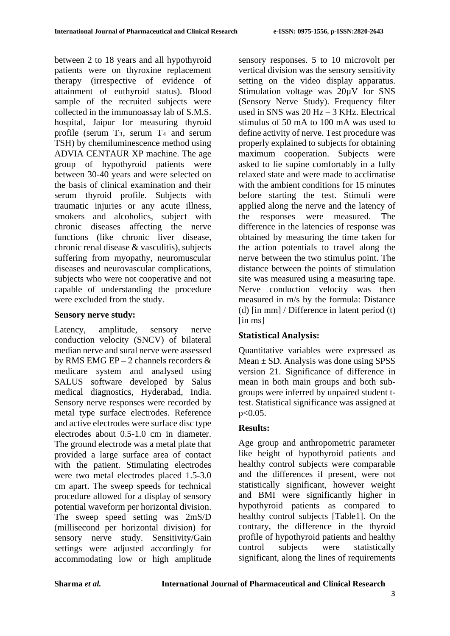between 2 to 18 years and all hypothyroid patients were on thyroxine replacement therapy (irrespective of evidence of attainment of euthyroid status). Blood sample of the recruited subjects were collected in the immunoassay lab of S.M.S. hospital, Jaipur for measuring thyroid profile (serum  $T_3$ , serum  $T_4$  and serum TSH) by chemiluminescence method using ADVIA CENTAUR XP machine. The age group of hypothyroid patients were between 30-40 years and were selected on the basis of clinical examination and their serum thyroid profile. Subjects with traumatic injuries or any acute illness, smokers and alcoholics, subject with chronic diseases affecting the nerve functions (like chronic liver disease, chronic renal disease & vasculitis), subjects suffering from myopathy, neuromuscular diseases and neurovascular complications, subjects who were not cooperative and not capable of understanding the procedure were excluded from the study.

# **Sensory nerve study:**

Latency, amplitude, sensory nerve conduction velocity (SNCV) of bilateral median nerve and sural nerve were assessed by RMS EMG EP – 2 channels recorders & medicare system and analysed using SALUS software developed by Salus medical diagnostics, Hyderabad, India. Sensory nerve responses were recorded by metal type surface electrodes. Reference and active electrodes were surface disc type electrodes about 0.5-1.0 cm in diameter. The ground electrode was a metal plate that provided a large surface area of contact with the patient. Stimulating electrodes were two metal electrodes placed 1.5-3.0 cm apart. The sweep speeds for technical procedure allowed for a display of sensory potential waveform per horizontal division. The sweep speed setting was 2mS/D (millisecond per horizontal division) for sensory nerve study. Sensitivity/Gain settings were adjusted accordingly for accommodating low or high amplitude sensory responses. 5 to 10 microvolt per vertical division was the sensory sensitivity setting on the video display apparatus. Stimulation voltage was 20µV for SNS (Sensory Nerve Study). Frequency filter used in SNS was 20 Hz – 3 KHz. Electrical stimulus of 50 mA to 100 mA was used to define activity of nerve. Test procedure was properly explained to subjects for obtaining maximum cooperation. Subjects were asked to lie supine comfortably in a fully relaxed state and were made to acclimatise with the ambient conditions for 15 minutes before starting the test. Stimuli were applied along the nerve and the latency of the responses were measured. The difference in the latencies of response was obtained by measuring the time taken for the action potentials to travel along the nerve between the two stimulus point. The distance between the points of stimulation site was measured using a measuring tape. Nerve conduction velocity was then measured in m/s by the formula: Distance (d) [in mm] / Difference in latent period (t) [in ms]

# **Statistical Analysis:**

Quantitative variables were expressed as Mean  $\pm$  SD. Analysis was done using SPSS version 21. Significance of difference in mean in both main groups and both subgroups were inferred by unpaired student ttest. Statistical significance was assigned at p<0.05.

# **Results:**

Age group and anthropometric parameter like height of hypothyroid patients and healthy control subjects were comparable and the differences if present, were not statistically significant, however weight and BMI were significantly higher in hypothyroid patients as compared to healthy control subjects [Table1]. On the contrary, the difference in the thyroid profile of hypothyroid patients and healthy control subjects were statistically significant, along the lines of requirements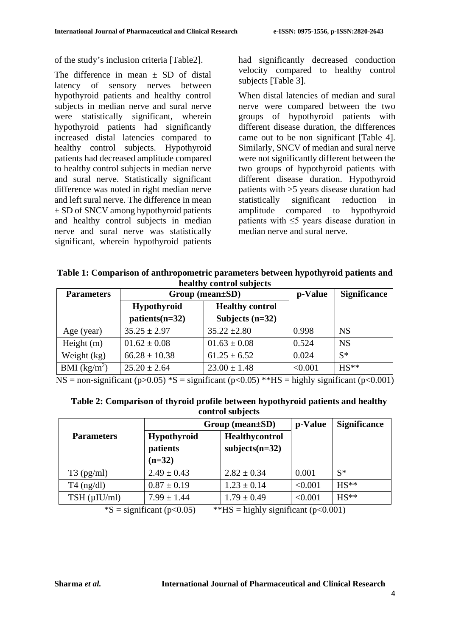of the study's inclusion criteria [Table2].

The difference in mean  $+$  SD of distal latency of sensory nerves between hypothyroid patients and healthy control subjects in median nerve and sural nerve were statistically significant, wherein hypothyroid patients had significantly increased distal latencies compared to healthy control subjects. Hypothyroid patients had decreased amplitude compared to healthy control subjects in median nerve and sural nerve. Statistically significant difference was noted in right median nerve and left sural nerve. The difference in mean ± SD of SNCV among hypothyroid patients and healthy control subjects in median nerve and sural nerve was statistically significant, wherein hypothyroid patients

had significantly decreased conduction velocity compared to healthy control subjects [Table 3].

When distal latencies of median and sural nerve were compared between the two groups of hypothyroid patients with different disease duration, the differences came out to be non significant [Table 4]. Similarly, SNCV of median and sural nerve were not significantly different between the two groups of hypothyroid patients with different disease duration. Hypothyroid patients with >5 years disease duration had statistically significant reduction in amplitude compared to hypothyroid patients with ≤5 years disease duration in median nerve and sural nerve.

**Table 1: Comparison of anthropometric parameters between hypothyroid patients and healthy control subjects**

| <b>Parameters</b> | $Group (mean \pm SD)$                         | p-Value                                     | <b>Significance</b> |           |
|-------------------|-----------------------------------------------|---------------------------------------------|---------------------|-----------|
|                   | <b>Hypothyroid</b><br>$\text{patients}(n=32)$ | <b>Healthy control</b><br>Subjects $(n=32)$ |                     |           |
| Age (year)        | $35.25 \pm 2.97$                              | $35.22 \pm 2.80$                            | 0.998               | <b>NS</b> |
| Height $(m)$      | $01.62 \pm 0.08$                              | $01.63 \pm 0.08$                            | 0.524               | <b>NS</b> |
| Weight (kg)       | $66.28 \pm 10.38$                             | $61.25 \pm 6.52$                            | 0.024               | $S^*$     |
| BMI $(kg/m^2)$    | $25.20 \pm 2.64$                              | $23.00 \pm 1.48$                            | < 0.001             | $HS**$    |

NS = non-significant (p $>0.05$ ) \*S = significant (p $<0.05$ ) \*\*HS = highly significant (p $<0.001$ )

| Table 2: Comparison of thyroid profile between hypothyroid patients and healthy |
|---------------------------------------------------------------------------------|
| control subjects                                                                |

|                      | $Group \ (mean \pm SD)$                    | p-Value                                   | <b>Significance</b> |        |
|----------------------|--------------------------------------------|-------------------------------------------|---------------------|--------|
| <b>Parameters</b>    | <b>Hypothyroid</b><br>patients<br>$(n=32)$ | <b>Healthycontrol</b><br>$subjects(n=32)$ |                     |        |
| $T3$ (pg/ml)         | $2.49 \pm 0.43$                            | $2.82 \pm 0.34$                           | 0.001               | $S^*$  |
| $T4$ (ng/dl)         | $0.87 \pm 0.19$                            | $1.23 \pm 0.14$                           | < 0.001             | $HS**$ |
| $TSH$ ( $\mu$ IU/ml) | $7.99 \pm 1.44$                            | $1.79 \pm 0.49$                           | < 0.001             | $HS**$ |

 $^*$ S = significant (p<0.05)  $^*$   $^*$ HS = highly significant (p<0.001)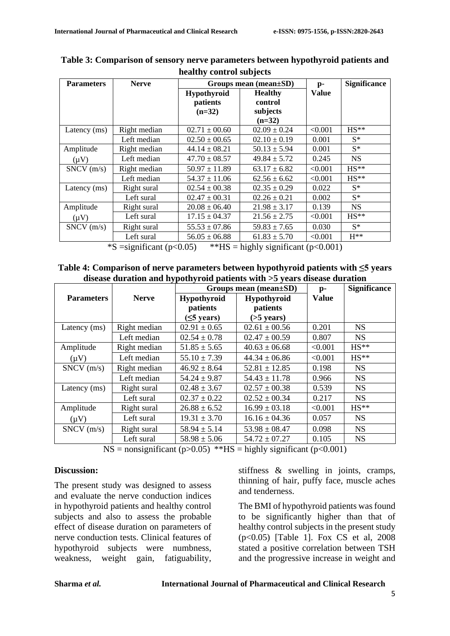| <b>Parameters</b>                                                                                               | <b>Nerve</b> |                    | Groups mean (mean $\pm SD$ ) | $\mathbf{p}$ - | <b>Significance</b> |
|-----------------------------------------------------------------------------------------------------------------|--------------|--------------------|------------------------------|----------------|---------------------|
|                                                                                                                 |              | <b>Hypothyroid</b> | <b>Healthy</b>               | <b>Value</b>   |                     |
|                                                                                                                 |              | patients           | control                      |                |                     |
|                                                                                                                 |              | $(n=32)$           | subjects                     |                |                     |
|                                                                                                                 |              |                    | $(n=32)$                     |                |                     |
| Latency (ms)                                                                                                    | Right median | $02.71 \pm 00.60$  | $02.09 \pm 0.24$             | < 0.001        | $HS**$              |
|                                                                                                                 | Left median  | $02.50 \pm 00.65$  | $02.10 \pm 0.19$             | 0.001          | $S^*$               |
| Amplitude                                                                                                       | Right median | $44.14 \pm 08.21$  | $50.13 \pm 5.94$             | 0.001          | $S^*$               |
| $(\mu V)$                                                                                                       | Left median  | $47.70 \pm 08.57$  | $49.84 \pm 5.72$             | 0.245          | <b>NS</b>           |
| $SNCV$ (m/s)                                                                                                    | Right median | $50.97 \pm 11.89$  | $63.17 \pm 6.82$             | < 0.001        | $HS**$              |
|                                                                                                                 | Left median  | $54.37 \pm 11.06$  | $62.56 \pm 6.62$             | < 0.001        | $HS**$              |
| Latency (ms)                                                                                                    | Right sural  | $02.54 \pm 00.38$  | $02.35 \pm 0.29$             | 0.022          | $S^*$               |
|                                                                                                                 | Left sural   | $02.47 \pm 00.31$  | $02.26 \pm 0.21$             | 0.002          | $S^*$               |
| Amplitude                                                                                                       | Right sural  | $20.08 \pm 06.40$  | $21.98 \pm 3.17$             | 0.139          | <b>NS</b>           |
| $(\mu V)$                                                                                                       | Left sural   | $17.15 \pm 04.37$  | $21.56 \pm 2.75$             | < 0.001        | $HS**$              |
| SNCV(m/s)                                                                                                       | Right sural  | $55.53 \pm 07.86$  | $59.83 \pm 7.65$             | 0.030          | $S^*$               |
|                                                                                                                 | Left sural   | $56.05 \pm 06.88$  | $61.83 \pm 5.70$             | < 0.001        | $H^{**}$            |
| $*S =$ $\sin i$ ; $\cos t$ ( $\approx 0.05$ ) $*$ $*IIIS =$ $\sinh v$ ; $\sin i$ ; $\cos t$ ( $\approx 0.001$ ) |              |                    |                              |                |                     |

**Table 3: Comparison of sensory nerve parameters between hypothyroid patients and healthy control subjects**

\*S =significant (p<0.05)  $*HS =$  highly significant (p<0.001)

**Table 4: Comparison of nerve parameters between hypothyroid patients with ≤5 years disease duration and hypothyroid patients with >5 years disease duration**

|                   | Groups mean (mean±SD) |                    |                   | $\mathbf{p}$ - | <b>Significance</b> |
|-------------------|-----------------------|--------------------|-------------------|----------------|---------------------|
| <b>Parameters</b> | <b>Nerve</b>          | <b>Hypothyroid</b> | Hypothyroid       | <b>Value</b>   |                     |
|                   |                       | patients           | patients          |                |                     |
|                   |                       | $(5$ years)        | $($ >5 years $)$  |                |                     |
| Latency (ms)      | Right median          | $02.91 \pm 0.65$   | $02.61 \pm 00.56$ | 0.201          | <b>NS</b>           |
|                   | Left median           | $02.54 \pm 0.78$   | $02.47 \pm 00.59$ | 0.807          | <b>NS</b>           |
| Amplitude         | Right median          | $51.85 \pm 5.65$   | $40.63 \pm 06.68$ | < 0.001        | $HS**$              |
| $(\mu V)$         | Left median           | $55.10 \pm 7.39$   | $44.34 \pm 06.86$ | < 0.001        | $HS**$              |
| $SNCV$ (m/s)      | Right median          | $46.92 \pm 8.64$   | $52.81 \pm 12.85$ | 0.198          | <b>NS</b>           |
|                   | Left median           | $54.24 \pm 9.87$   | $54.43 \pm 11.78$ | 0.966          | <b>NS</b>           |
| Latency (ms)      | Right sural           | $02.48 \pm 3.67$   | $02.57 \pm 00.38$ | 0.539          | <b>NS</b>           |
|                   | Left sural            | $02.37 \pm 0.22$   | $02.52 \pm 00.34$ | 0.217          | <b>NS</b>           |
| Amplitude         | Right sural           | $26.88 \pm 6.52$   | $16.99 \pm 03.18$ | < 0.001        | $HS**$              |
| $(\mu V)$         | Left sural            | $19.31 \pm 3.70$   | $16.16 \pm 04.36$ | 0.057          | <b>NS</b>           |
| SNCV(m/s)         | Right sural           | $58.94 \pm 5.14$   | $53.98 \pm 08.47$ | 0.098          | <b>NS</b>           |
|                   | Left sural            | $58.98 \pm 5.06$   | $54.72 \pm 07.27$ | 0.105          | <b>NS</b>           |

 $NS =$  nonsignificant (p>0.05) \*\*HS = highly significant (p<0.001)

#### **Discussion:**

The present study was designed to assess and evaluate the nerve conduction indices in hypothyroid patients and healthy control subjects and also to assess the probable effect of disease duration on parameters of nerve conduction tests. Clinical features of hypothyroid subjects were numbness, weakness, weight gain, fatiguability,

stiffness & swelling in joints, cramps, thinning of hair, puffy face, muscle aches and tenderness.

The BMI of hypothyroid patients was found to be significantly higher than that of healthy control subjects in the present study (p<0.05) [Table 1]. Fox CS et al, 2008 stated a positive correlation between TSH and the progressive increase in weight and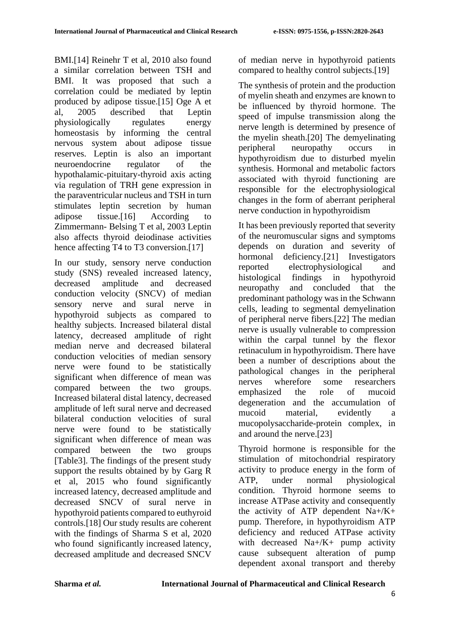BMI.[14] Reinehr T et al, 2010 also found a similar correlation between TSH and BMI. It was proposed that such a correlation could be mediated by leptin produced by adipose tissue.[15] Oge A et al, 2005 described that Leptin physiologically regulates energy homeostasis by informing the central nervous system about adipose tissue reserves. Leptin is also an important neuroendocrine regulator of the hypothalamic-pituitary-thyroid axis acting via regulation of TRH gene expression in the paraventricular nucleus and TSH in turn stimulates leptin secretion by human adipose tissue.[16] According to Zimmermann- Belsing T et al, 2003 Leptin also affects thyroid deiodinase activities hence affecting T4 to T3 conversion.[17]

In our study, sensory nerve conduction study (SNS) revealed increased latency, decreased amplitude and decreased conduction velocity (SNCV) of median sensory nerve and sural nerve in hypothyroid subjects as compared to healthy subjects. Increased bilateral distal latency, decreased amplitude of right median nerve and decreased bilateral conduction velocities of median sensory nerve were found to be statistically significant when difference of mean was compared between the two groups. Increased bilateral distal latency, decreased amplitude of left sural nerve and decreased bilateral conduction velocities of sural nerve were found to be statistically significant when difference of mean was compared between the two groups [Table3]. The findings of the present study support the results obtained by by Garg R et al, 2015 who found significantly increased latency, decreased amplitude and decreased SNCV of sural nerve in hypothyroid patients compared to euthyroid controls.[18] Our study results are coherent with the findings of Sharma S et al, 2020 who found significantly increased latency, decreased amplitude and decreased SNCV

of median nerve in hypothyroid patients compared to healthy control subjects.[19]

The synthesis of protein and the production of myelin sheath and enzymes are known to be influenced by thyroid hormone. The speed of impulse transmission along the nerve length is determined by presence of the myelin sheath.[20] The demyelinating peripheral neuropathy occurs in hypothyroidism due to disturbed myelin synthesis. Hormonal and metabolic factors associated with thyroid functioning are responsible for the electrophysiological changes in the form of aberrant peripheral nerve conduction in hypothyroidism

It has been previously reported that severity of the neuromuscular signs and symptoms depends on duration and severity of hormonal deficiency.<sup>[21]</sup> Investigators reported electrophysiological and histological findings in hypothyroid neuropathy and concluded that the predominant pathology was in the Schwann cells, leading to segmental demyelination of peripheral nerve fibers.[22] The median nerve is usually vulnerable to compression within the carpal tunnel by the flexor retinaculum in hypothyroidism. There have been a number of descriptions about the pathological changes in the peripheral nerves wherefore some researchers emphasized the role of mucoid degeneration and the accumulation of mucoid material, evidently a mucopolysaccharide-protein complex, in and around the nerve.[23]

Thyroid hormone is responsible for the stimulation of mitochondrial respiratory activity to produce energy in the form of ATP, under normal physiological condition. Thyroid hormone seems to increase ATPase activity and consequently the activity of ATP dependent  $Na+ / K+$ pump. Therefore, in hypothyroidism ATP deficiency and reduced ATPase activity with decreased  $Na + / K +$  pump activity cause subsequent alteration of pump dependent axonal transport and thereby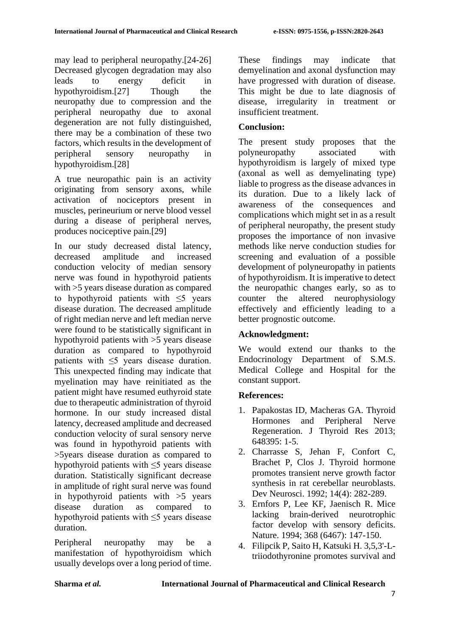may lead to peripheral neuropathy.[24-26] Decreased glycogen degradation may also leads to energy deficit in hypothyroidism.[27] Though the neuropathy due to compression and the peripheral neuropathy due to axonal degeneration are not fully distinguished, there may be a combination of these two factors, which results in the development of peripheral sensory neuropathy in hypothyroidism.[28]

A true neuropathic pain is an activity originating from sensory axons, while activation of nociceptors present in muscles, perineurium or nerve blood vessel during a disease of peripheral nerves, produces nociceptive pain.[29]

In our study decreased distal latency, decreased amplitude and increased conduction velocity of median sensory nerve was found in hypothyroid patients with >5 years disease duration as compared to hypothyroid patients with ≤5 years disease duration. The decreased amplitude of right median nerve and left median nerve were found to be statistically significant in hypothyroid patients with >5 years disease duration as compared to hypothyroid patients with ≤5 years disease duration. This unexpected finding may indicate that myelination may have reinitiated as the patient might have resumed euthyroid state due to therapeutic administration of thyroid hormone. In our study increased distal latency, decreased amplitude and decreased conduction velocity of sural sensory nerve was found in hypothyroid patients with >5years disease duration as compared to hypothyroid patients with  $\leq$ 5 years disease duration. Statistically significant decrease in amplitude of right sural nerve was found in hypothyroid patients with >5 years disease duration as compared to hypothyroid patients with ≤5 years disease duration.

Peripheral neuropathy may be a manifestation of hypothyroidism which usually develops over a long period of time. These findings may indicate that demyelination and axonal dysfunction may have progressed with duration of disease. This might be due to late diagnosis of disease, irregularity in treatment or insufficient treatment.

# **Conclusion:**

The present study proposes that the polyneuropathy associated with hypothyroidism is largely of mixed type (axonal as well as demyelinating type) liable to progress as the disease advances in its duration. Due to a likely lack of awareness of the consequences and complications which might set in as a result of peripheral neuropathy, the present study proposes the importance of non invasive methods like nerve conduction studies for screening and evaluation of a possible development of polyneuropathy in patients of hypothyroidism. It is imperative to detect the neuropathic changes early, so as to counter the altered neurophysiology effectively and efficiently leading to a better prognostic outcome.

# **Acknowledgment:**

We would extend our thanks to the Endocrinology Department of S.M.S. Medical College and Hospital for the constant support.

# **References:**

- 1. Papakostas ID, Macheras GA. Thyroid Hormones and Peripheral Nerve Regeneration. J Thyroid Res 2013; 648395: 1-5.
- 2. Charrasse S, Jehan F, Confort C, Brachet P, Clos J. Thyroid hormone promotes transient nerve growth factor synthesis in rat cerebellar neuroblasts. Dev Neurosci. 1992; 14(4): 282-289.
- 3. Ernfors P, Lee KF, Jaenisch R. Mice lacking brain-derived neurotrophic factor develop with sensory deficits. Nature. 1994; 368 (6467): 147-150.
- 4. Filipcik P, Saito H, Katsuki H. 3,5,3'-Ltriiodothyronine promotes survival and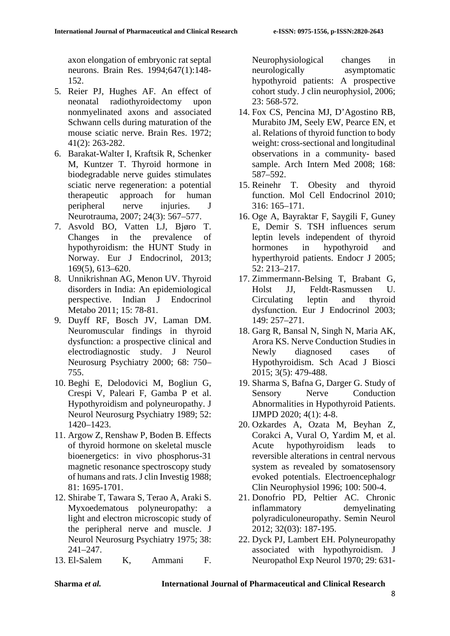axon elongation of embryonic rat septal neurons. Brain Res. 1994;647(1):148- 152.

- 5. Reier PJ, Hughes AF. An effect of neonatal radiothyroidectomy upon nonmyelinated axons and associated Schwann cells during maturation of the mouse sciatic nerve. Brain Res. 1972; 41(2): 263-282.
- 6. Barakat-Walter I, Kraftsik R, Schenker M, Kuntzer T. Thyroid hormone in biodegradable nerve guides stimulates sciatic nerve regeneration: a potential therapeutic approach for human peripheral nerve injuries. J Neurotrauma, 2007; 24(3): 567–577.
- 7. Asvold BO, Vatten LJ, Bjøro T. Changes in the prevalence of hypothyroidism: the HUNT Study in Norway. Eur J Endocrinol, 2013; 169(5), 613–620.
- 8. Unnikrishnan AG, Menon UV. Thyroid disorders in India: An epidemiological perspective. Indian J Endocrinol Metabo 2011; 15: 78-81.
- 9. Duyff RF, Bosch JV, Laman DM. Neuromuscular findings in thyroid dysfunction: a prospective clinical and electrodiagnostic study. J Neurol Neurosurg Psychiatry 2000; 68: 750– 755.
- 10. Beghi E, Delodovici M, Bogliun G, Crespi V, Paleari F, Gamba P et al. Hypothyroidism and polyneuropathy. J Neurol Neurosurg Psychiatry 1989; 52: 1420–1423.
- 11. Argow Z, Renshaw P, Boden B. Effects of thyroid hormone on skeletal muscle bioenergetics: in vivo phosphorus-31 magnetic resonance spectroscopy study of humans and rats. J clin Investig 1988; 81: 1695-1701.
- 12. Shirabe T, Tawara S, Terao A, Araki S. Myxoedematous polyneuropathy: a light and electron microscopic study of the peripheral nerve and muscle. J Neurol Neurosurg Psychiatry 1975; 38: 241–247.
- 13. El-Salem K, Ammani F.

Neurophysiological changes in neurologically asymptomatic hypothyroid patients: A prospective cohort study. J clin neurophysiol, 2006; 23: 568-572.

- 14. Fox CS, Pencina MJ, D'Agostino RB, Murabito JM, Seely EW, Pearce EN, et al. Relations of thyroid function to body weight: cross-sectional and longitudinal observations in a community- based sample. Arch Intern Med 2008; 168: 587–592.
- 15. Reinehr T. Obesity and thyroid function. Mol Cell Endocrinol 2010; 316: 165–171.
- 16. Oge A, Bayraktar F, Saygili F, Guney E, Demir S. TSH influences serum leptin levels independent of thyroid hormones in hypothyroid and hyperthyroid patients. Endocr J 2005; 52: 213–217.
- 17. Zimmermann-Belsing T, Brabant G, Holst JJ, Feldt-Rasmussen U. Circulating leptin and thyroid dysfunction. Eur J Endocrinol 2003; 149: 257–271.
- 18. Garg R, Bansal N, Singh N, Maria AK, Arora KS. Nerve Conduction Studies in Newly diagnosed cases of Hypothyroidism. Sch Acad J Biosci 2015; 3(5): 479-488.
- 19. Sharma S, Bafna G, Darger G. Study of Sensory Nerve Conduction Abnormalities in Hypothyroid Patients. IJMPD 2020; 4(1): 4-8.
- 20. Ozkardes A, Ozata M, Beyhan Z, Corakci A, Vural O, Yardim M, et al. Acute hypothyroidism leads to reversible alterations in central nervous system as revealed by somatosensory evoked potentials. Electroencephalogr Clin Neurophysiol 1996; 100: 500-4.
- 21. Donofrio PD, Peltier AC. Chronic inflammatory demyelinating polyradiculoneuropathy. Semin Neurol 2012; 32(03): 187-195.
- 22. Dyck PJ, Lambert EH. Polyneuropathy associated with hypothyroidism. J Neuropathol Exp Neurol 1970; 29: 631-